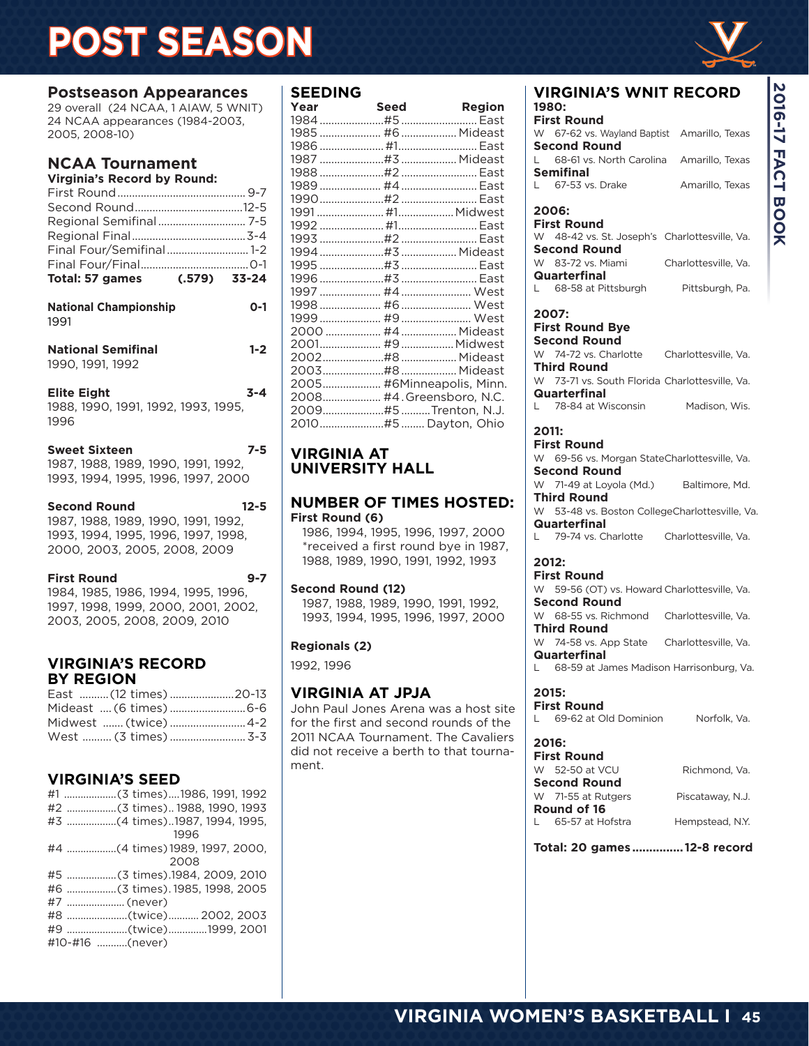## **POST SEASON**

**2016-17 FACT BOOK**

**2016-17 FACT BOOK** 

## **Postseason Appearances**

29 overall (24 NCAA, 1 AIAW, 5 WNIT) 24 NCAA appearances (1984-2003, 2005, 2008-10)

#### **NCAA Tournament Virginia's Record by Round:**

| Virginia s Record DV Round.                                       |         |
|-------------------------------------------------------------------|---------|
|                                                                   |         |
|                                                                   |         |
|                                                                   |         |
|                                                                   |         |
| Final Four/Semifinal  1-2                                         |         |
|                                                                   |         |
| Total: 57 games (.579) 33-24                                      |         |
| <b>National Championship</b><br>1991                              | $0 - 1$ |
| <b>National Semifinal</b><br>1990, 1991, 1992                     | $1 - 2$ |
| <b>Elite Eight</b><br>1988, 1990, 1991, 1992, 1993, 1995,<br>1996 | $3 - 4$ |
| <b>Sweet Sixteen</b><br>1987, 1988, 1989, 1990, 1991, 1992,       | $7 - 5$ |

1987, 1988, 1989, 1990, 1991, 1992, 1993, 1994, 1995, 1996, 1997, 2000

**Second Round 12-5** 1987, 1988, 1989, 1990, 1991, 1992, 1993, 1994, 1995, 1996, 1997, 1998, 2000, 2003, 2005, 2008, 2009

**First Round 9-7** 1984, 1985, 1986, 1994, 1995, 1996, 1997, 1998, 1999, 2000, 2001, 2002, 2003, 2005, 2008, 2009, 2010

#### **VIRGINIA'S RECORD BY REGION**

| East (12 times) 20-13 |
|-----------------------|
|                       |
| Midwest  (twice)  4-2 |
| West  (3 times)  3-3  |
|                       |

### **VIRGINIA'S SEED**

|                 | #1 (3 times)1986, 1991, 1992   |
|-----------------|--------------------------------|
|                 |                                |
|                 | #3 (4 times)1987, 1994, 1995,  |
|                 | 1996                           |
|                 | #4 (4 times) 1989, 1997, 2000. |
|                 | 2008                           |
|                 | #5 (3 times).1984, 2009, 2010  |
|                 |                                |
| #7  (never)     |                                |
|                 | #8 (twice) 2002, 2003          |
|                 | #9 (twice)1999, 2001           |
| #10-#16 (never) |                                |

#### **SEEDING**

| Year | Seed                      | <b>Region</b> |
|------|---------------------------|---------------|
|      |                           |               |
|      |                           |               |
|      |                           |               |
|      |                           |               |
|      |                           |               |
|      |                           |               |
|      |                           |               |
|      |                           |               |
|      |                           |               |
|      |                           |               |
|      |                           |               |
|      |                           |               |
|      |                           |               |
|      |                           |               |
|      |                           |               |
|      |                           |               |
|      |                           |               |
|      |                           |               |
|      |                           |               |
|      |                           |               |
|      | 2005 #6Minneapolis, Minn. |               |
|      | 2008 #4.Greensboro, N.C.  |               |
|      | 2009#5Trenton, N.J.       |               |
|      | 2010#5  Dayton, Ohio      |               |

#### **VIRGINIA AT UNIVERSITY HALL**

#### **NUMBER OF TIMES HOSTED: First Round (6)**

 1986, 1994, 1995, 1996, 1997, 2000 \*received a first round bye in 1987, 1988, 1989, 1990, 1991, 1992, 1993

#### **Second Round (12)**

1987, 1988, 1989, 1990, 1991, 1992, 1993, 1994, 1995, 1996, 1997, 2000

#### **Regionals (2)**

1992, 1996

### **VIRGINIA AT JPJA**

John Paul Jones Arena was a host site for the first and second rounds of the 2011 NCAA Tournament. The Cavaliers did not receive a berth to that tournament.

| VIRGINIA'S WNIT RECORD<br>1980:                |                      |
|------------------------------------------------|----------------------|
| <b>First Round</b>                             |                      |
| W 67-62 vs. Wayland Baptist Amarillo, Texas    |                      |
| <b>Second Round</b>                            |                      |
| L 68-61 vs. North Carolina Amarillo, Texas     |                      |
| <b>Semifinal</b>                               |                      |
| $L$ 67-53 vs. Drake                            | Amarillo, Texas      |
|                                                |                      |
| 2006:                                          |                      |
| <b>First Round</b>                             |                      |
| W 48-42 vs. St. Joseph's Charlottesville, Va.  |                      |
| <b>Second Round</b>                            |                      |
| W 83-72 vs. Miami                              | Charlottesville, Va. |
| Quarterfinal                                   |                      |
| L 68-58 at Pittsburgh                          | Pittsburgh, Pa.      |
|                                                |                      |
| 2007:                                          |                      |
| <b>First Round Bye</b>                         |                      |
| <b>Second Round</b>                            |                      |
| W 74-72 vs. Charlotte Charlottesville, Va.     |                      |
| <b>Third Round</b>                             |                      |
| W 73-71 vs. South Florida Charlottesville, Va. |                      |
| Quarterfinal                                   |                      |
| L 78-84 at Wisconsin                           | Madison, Wis.        |
|                                                |                      |
| 2011:                                          |                      |
| <b>First Round</b>                             |                      |
| W 69-56 vs Morgan StateCharlottesville Va      |                      |

W 69-56 vs. Morgan StateCharlottesville, Va. **Second Round** W 71-49 at Loyola (Md.) Baltimore, Md. **Third Round** W 53-48 vs. Boston CollegeCharlottesville, Va. **Quarterfinal**<br>L 79-74 vs. Ch

79-74 vs. Charlotte Charlottesville, Va.

#### **2012:**

#### **First Round** W 59-56 (OT) vs. Howard Charlottesville, Va. **Second Round** W 68-55 vs. Richmond Charlottesville, Va. **Third Round** W 74-58 vs. App State Charlottesville, Va. **Quarterfinal**

68-59 at James Madison Harrisonburg, Va.

#### **2015:**

**First Round** 69-62 at Old Dominion Norfolk, Va.

#### **2016:**

| <b>First Round</b>   |  |
|----------------------|--|
| W 52-50 at VCU       |  |
| <b>Second Round</b>  |  |
| W 71-55 at Rutgers   |  |
| Round of 16          |  |
| l – 65-57 at Hofstra |  |

Richmond, Va. Piscataway, N.J.

Hempstead, N.Y.

**Total: 20 games ............... 12-8 record**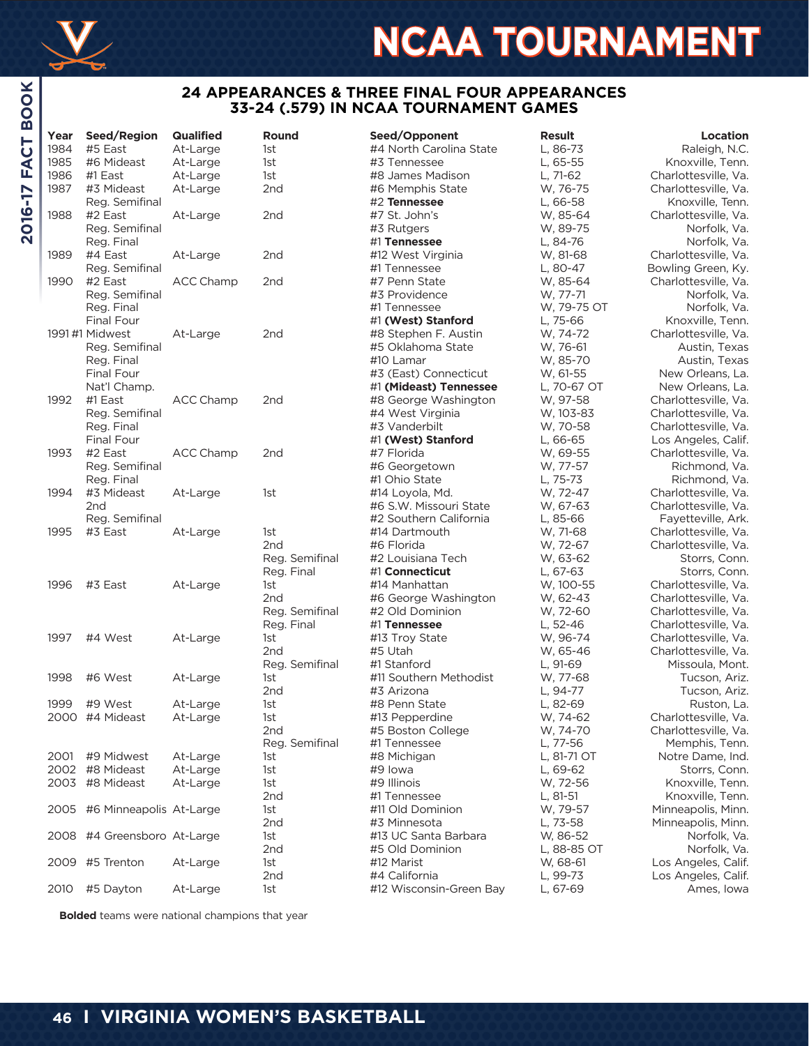

## **NCAA TOURNAMENT**

#### **24 APPEARANCES & THREE FINAL FOUR APPEARANCES 33-24 (.579) IN NCAA TOURNAMENT GAMES**

| ⋍<br><b>FACT</b> | Year | Seed/Region                  | <b>Qualified</b> | Round           | Seed/Opponent           | <b>Result</b> | Location             |
|------------------|------|------------------------------|------------------|-----------------|-------------------------|---------------|----------------------|
|                  | 1984 | #5 East                      | At-Large         | 1st             | #4 North Carolina State | L, 86-73      | Raleigh, N.C.        |
|                  | 1985 | #6 Mideast                   | At-Large         | 1st             | #3 Tennessee            | L, 65-55      | Knoxville, Tenn.     |
|                  | 1986 | #1 East                      | At-Large         | 1st             | #8 James Madison        | L, 71-62      | Charlottesville, Va. |
|                  | 1987 | #3 Mideast                   | At-Large         | 2nd             | #6 Memphis State        | W, 76-75      | Charlottesville, Va. |
| 2016-17          |      | Reg. Semifinal               |                  |                 | #2 Tennessee            | L, 66-58      | Knoxville, Tenn.     |
|                  | 1988 | #2 East                      | At-Large         | 2nd             | #7 St. John's           | W, 85-64      | Charlottesville, Va. |
|                  |      | Reg. Semifinal               |                  |                 | #3 Rutgers              | W, 89-75      | Norfolk, Va.         |
|                  |      | Reg. Final                   |                  |                 | #1 Tennessee            | L, 84-76      | Norfolk, Va.         |
|                  | 1989 | #4 East                      | At-Large         | 2 <sub>nd</sub> | #12 West Virginia       | W, 81-68      | Charlottesville, Va. |
|                  |      | Reg. Semifinal               |                  |                 | #1 Tennessee            | L, 80-47      | Bowling Green, Ky.   |
|                  | 1990 | #2 East                      | <b>ACC Champ</b> | 2nd             | #7 Penn State           | W, 85-64      | Charlottesville, Va. |
|                  |      | Reg. Semifinal               |                  |                 | #3 Providence           | W. 77-71      | Norfolk, Va.         |
|                  |      | Reg. Final                   |                  |                 | #1 Tennessee            | W, 79-75 OT   | Norfolk, Va.         |
|                  |      | Final Four                   |                  |                 | #1 (West) Stanford      | L, 75-66      | Knoxville, Tenn.     |
|                  |      | 1991 #1 Midwest              | At-Large         | 2nd             | #8 Stephen F. Austin    | W, 74-72      | Charlottesville, Va. |
|                  |      | Reg. Semifinal               |                  |                 | #5 Oklahoma State       | W, 76-61      | Austin, Texas        |
|                  |      | Reg. Final                   |                  |                 | #10 Lamar               | W, 85-70      | Austin, Texas        |
|                  |      | Final Four                   |                  |                 | #3 (East) Connecticut   | W, 61-55      | New Orleans, La.     |
|                  |      | Nat'l Champ.                 |                  |                 | #1 (Mideast) Tennessee  | L, 70-67 OT   | New Orleans, La.     |
|                  | 1992 | #1 East                      | <b>ACC Champ</b> | 2nd             | #8 George Washington    | W, 97-58      | Charlottesville, Va. |
|                  |      | Reg. Semifinal               |                  |                 | #4 West Virginia        | W, 103-83     | Charlottesville, Va. |
|                  |      | Reg. Final                   |                  |                 | #3 Vanderbilt           | W, 70-58      | Charlottesville, Va. |
|                  |      | Final Four                   |                  |                 | #1 (West) Stanford      | L, 66-65      | Los Angeles, Calif.  |
|                  | 1993 | #2 East                      | <b>ACC Champ</b> | 2nd             | #7 Florida              | W, 69-55      | Charlottesville, Va. |
|                  |      | Reg. Semifinal               |                  |                 | #6 Georgetown           | W, 77-57      | Richmond, Va.        |
|                  |      | Reg. Final                   |                  |                 | #1 Ohio State           | L, 75-73      | Richmond, Va.        |
|                  | 1994 | #3 Mideast                   | At-Large         | 1st             | #14 Loyola, Md.         | W. 72-47      | Charlottesville, Va. |
|                  |      | 2nd                          |                  |                 | #6 S.W. Missouri State  | W, 67-63      | Charlottesville, Va. |
|                  |      | Reg. Semifinal               |                  |                 | #2 Southern California  | L, 85-66      | Fayetteville, Ark.   |
|                  | 1995 | #3 East                      | At-Large         | 1st             | #14 Dartmouth           | W, 71-68      | Charlottesville, Va. |
|                  |      |                              |                  | 2nd             | #6 Florida              | W, 72-67      | Charlottesville, Va. |
|                  |      |                              |                  | Reg. Semifinal  | #2 Louisiana Tech       | W, 63-62      | Storrs, Conn.        |
|                  |      |                              |                  | Reg. Final      | #1 Connecticut          | L, 67-63      | Storrs, Conn.        |
|                  | 1996 | #3 East                      | At-Large         | 1st             | #14 Manhattan           | W, 100-55     | Charlottesville, Va. |
|                  |      |                              |                  | 2 <sub>nd</sub> | #6 George Washington    | W, 62-43      | Charlottesville, Va. |
|                  |      |                              |                  |                 | #2 Old Dominion         |               |                      |
|                  |      |                              |                  | Reg. Semifinal  |                         | W, 72-60      | Charlottesville, Va. |
|                  |      |                              |                  | Reg. Final      | #1 Tennessee            | L, 52-46      | Charlottesville, Va. |
|                  | 1997 | #4 West                      | At-Large         | 1st             | #13 Troy State          | W, 96-74      | Charlottesville, Va. |
|                  |      |                              |                  | 2nd             | #5 Utah                 | W, 65-46      | Charlottesville, Va. |
|                  |      |                              |                  | Reg. Semifinal  | #1 Stanford             | L, 91-69      | Missoula, Mont.      |
|                  | 1998 | #6 West                      | At-Large         | 1st             | #11 Southern Methodist  | W, 77-68      | Tucson, Ariz.        |
|                  |      |                              |                  | 2nd             | #3 Arizona              | L, 94-77      | Tucson, Ariz.        |
|                  | 1999 | #9 West                      | At-Large         | 1st             | #8 Penn State           | L, 82-69      | Ruston, La.          |
|                  |      | 2000 #4 Mideast              | At-Large         | 1st             | #13 Pepperdine          | W. 74-62      | Charlottesville, Va. |
|                  |      |                              |                  | 2nd             | #5 Boston College       | W, 74-70      | Charlottesville, Va. |
|                  |      |                              |                  | Reg. Semifinal  | #1 Tennessee            | L, 77-56      | Memphis, Tenn.       |
|                  |      | 2001 #9 Midwest              | At-Large         | 1st             | #8 Michigan             | L, 81-71 OT   | Notre Dame, Ind.     |
|                  |      | 2002 #8 Mideast              | At-Large         | 1st             | #9 lowa                 | L, 69-62      | Storrs, Conn.        |
|                  |      | 2003 #8 Mideast              | At-Large         | 1st             | #9 Illinois             | W, 72-56      | Knoxville, Tenn.     |
|                  |      |                              |                  | 2nd             | #1 Tennessee            | L, 81-51      | Knoxville, Tenn.     |
|                  |      | 2005 #6 Minneapolis At-Large |                  | 1st             | #11 Old Dominion        | W, 79-57      | Minneapolis, Minn.   |
|                  |      |                              |                  | 2nd             | #3 Minnesota            | L, 73-58      | Minneapolis, Minn.   |
|                  |      | 2008 #4 Greensboro At-Large  |                  | 1st             | #13 UC Santa Barbara    | W, 86-52      | Norfolk, Va.         |
|                  |      |                              |                  | 2nd             | #5 Old Dominion         | L, 88-85 OT   | Norfolk, Va.         |
|                  |      | 2009 #5 Trenton              | At-Large         | 1st             | #12 Marist              | W, 68-61      | Los Angeles, Calif.  |
|                  |      |                              |                  | 2nd             | #4 California           | L, 99-73      | Los Angeles, Calif.  |
|                  | 2010 | #5 Dayton                    | At-Large         | 1st             | #12 Wisconsin-Green Bay | L, 67-69      | Ames, Iowa           |
|                  |      |                              |                  |                 |                         |               |                      |

**Bolded** teams were national champions that year